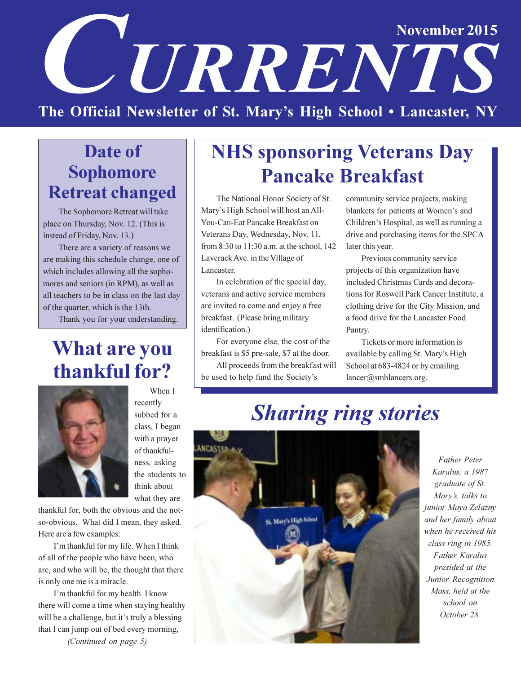# November 2015 UERENTS The Official Newsletter of St. Mary's High School . Lancaster, NY

# Date of **Sophomore Retreat changed**

The Sophomore Retreat will take place on Thursday, Nov. 12. (This is instead of Friday, Nov. 13.)

There are a variety of reasons we are making this schedule change, one of which includes allowing all the sophomores and seniors (in RPM), as well as all teachers to be in class on the last day of the quarter, which is the 13th.

Thank you for your understanding.

# **What are you** thankful for?



When I recently subbed for a class, I began with a prayer of thankfulness, asking the students to think about what they are

thankful for, both the obvious and the notso-obvious. What did I mean, they asked. Here are a few examples:

I'm thankful for my life. When I think of all of the people who have been, who are, and who will be, the thought that there is only one me is a miracle.

I'm thankful for my health. I know there will come a time when staying healthy will be a challenge, but it's truly a blessing that I can jump out of bed every morning,

(Continued on page 5)

# **NHS sponsoring Veterans Day Pancake Breakfast**

The National Honor Society of St. Mary's High School will host an All-You-Can-Eat Pancake Breakfast on Veterans Day, Wednesday, Nov. 11, from 8:30 to 11:30 a.m. at the school, 142 Laverack Ave. in the Village of Lancaster.

In celebration of the special day, veterans and active service members are invited to come and enjoy a free breakfast. (Please bring military identification.)

For everyone else, the cost of the breakfast is \$5 pre-sale, \$7 at the door. All proceeds from the breakfast will

be used to help fund the Society's

community service projects, making blankets for patients at Women's and Children's Hospital, as well as running a drive and purchasing items for the SPCA later this year.

Previous community service projects of this organization have included Christmas Cards and decorations for Roswell Park Cancer Institute, a clothing drive for the City Mission, and a food drive for the Lancaster Food Pantry.

Tickets or more information is available by calling St. Mary's High School at 683-4824 or by emailing lancer@smhlancers.org.

**Sharing ring stories** 



**Father Peter** Karalus, a 1987 graduate of St. Mary's, talks to junior Maya Zelazny and her family about when he received his class ring in 1985. **Father Karalus** presided at the Junior Recognition Mass, held at the school on October 28.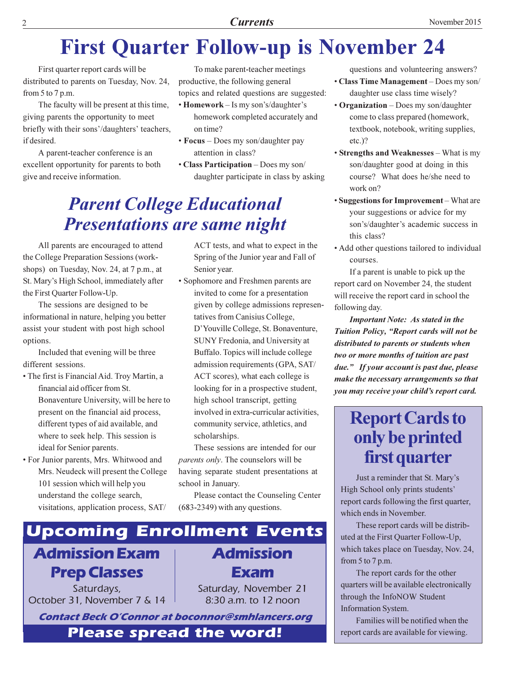# **First Quarter Follow-up is November 24**

First quarter report cards will be distributed to parents on Tuesday, Nov. 24, from 5 to 7 p.m.

The faculty will be present at this time, giving parents the opportunity to meet briefly with their sons'/daughters' teachers, if desired.

A parent-teacher conference is an excellent opportunity for parents to both give and receive information.

To make parent-teacher meetings productive, the following general topics and related questions are suggested:

- $\cdot$  Homework Is my son's/daughter's homework completed accurately and on time?
- Focus Does my son/daughter pay attention in class?
- Class Participation Does my son/ daughter participate in class by asking

# **Parent College Educational Presentations are same night**

All parents are encouraged to attend the College Preparation Sessions (workshops) on Tuesday, Nov. 24, at 7 p.m., at St. Mary's High School, immediately after the First Quarter Follow-Up.

The sessions are designed to be informational in nature, helping you better assist your student with post high school options.

Included that evening will be three different sessions.

- The first is Financial Aid. Troy Martin, a financial aid officer from St. Bonaventure University, will be here to present on the financial aid process, different types of aid available, and where to seek help. This session is ideal for Senior parents.
- For Junior parents, Mrs. Whitwood and Mrs. Neudeck will present the College 101 session which will help you understand the college search, visitations, application process, SAT/

ACT tests, and what to expect in the Spring of the Junior year and Fall of Senior year.

• Sophomore and Freshmen parents are invited to come for a presentation given by college admissions representatives from Canisius College, D'Youville College, St. Bonaventure, SUNY Fredonia, and University at Buffalo. Topics will include college admission requirements (GPA, SAT/ ACT scores), what each college is looking for in a prospective student, high school transcript, getting involved in extra-curricular activities, community service, athletics, and scholarships.

These sessions are intended for our *parents only*. The counselors will be having separate student presentations at school in January.

Please contact the Counseling Center  $(683-2349)$  with any questions.



**Prep Classes** 

Saturdays, October 31, November 7 & 14 Exam

Saturday, November 21 8:30 a.m. to 12 noon

**Contact Beck O'Connor at boconnor@smhlancers.org** 

**Please spread the word!** 

questions and volunteering answers?

- Class Time Management Does my son/ daughter use class time wisely?
- Organization Does my son/daughter come to class prepared (homework, textbook, notebook, writing supplies,  $etc.$ )?
- Strengths and Weaknesses What is my son/daughter good at doing in this course? What does he/she need to work on?
- Suggestions for Improvement What are your suggestions or advice for my son's/daughter's academic success in this class?
- Add other questions tailored to individual courses.

If a parent is unable to pick up the report card on November 24, the student will receive the report card in school the following day.

**Important Note: As stated in the** Tuition Policy, "Report cards will not be distributed to parents or students when two or more months of tuition are past due." If your account is past due, please make the necessary arrangements so that you may receive your child's report card.

# **Report Cards to** only be printed first quarter

Just a reminder that St. Mary's High School only prints students' report cards following the first quarter, which ends in November.

These report cards will be distributed at the First Quarter Follow-Up, which takes place on Tuesday, Nov. 24, from 5 to 7 p.m.

The report cards for the other quarters will be available electronically through the InfoNOW Student Information System.

Families will be notified when the report cards are available for viewing.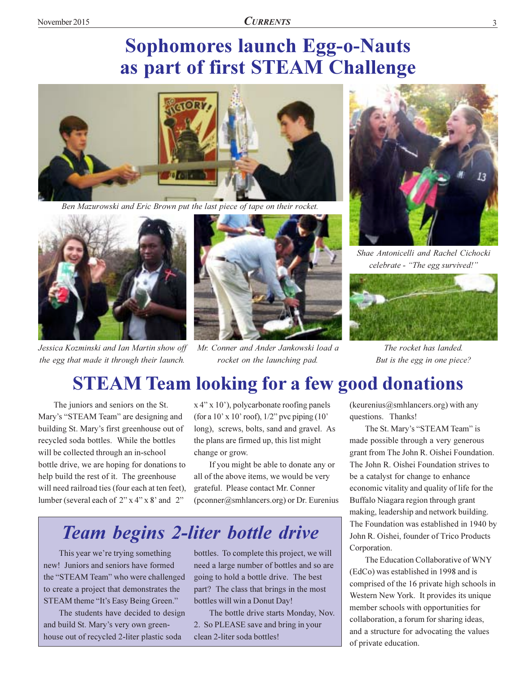# **Sophomores launch Egg-o-Nauts** as part of first STEAM Challenge



Ben Mazurowski and Eric Brown put the last piece of tape on their rocket.



Jessica Kozminski and Ian Martin show off the egg that made it through their launch.



Mr. Conner and Ander Jankowski load a rocket on the launching pad.



Shae Antonicelli and Rachel Cichocki celebrate - "The egg survived!"



The rocket has landed. But is the egg in one piece?

# **STEAM Team looking for a few good donations**

The juniors and seniors on the St. Mary's "STEAM Team" are designing and building St. Mary's first greenhouse out of recycled soda bottles. While the bottles will be collected through an in-school bottle drive, we are hoping for donations to help build the rest of it. The greenhouse will need railroad ties (four each at ten feet), lumber (several each of  $2$ " x 4" x 8' and  $2$ "

x 4" x 10", polycarbonate roofing panels (for a 10' x 10' roof),  $1/2$ " pvc piping (10' long), screws, bolts, sand and gravel. As the plans are firmed up, this list might change or grow.

If you might be able to donate any or all of the above items, we would be very grateful. Please contact Mr. Conner (pconner@smhlancers.org) or Dr. Eurenius

# **Team begins 2-liter bottle drive**

This year we're trying something new! Juniors and seniors have formed the "STEAM Team" who were challenged to create a project that demonstrates the STEAM theme "It's Easy Being Green."

The students have decided to design and build St. Mary's very own greenhouse out of recycled 2-liter plastic soda

bottles. To complete this project, we will need a large number of bottles and so are going to hold a bottle drive. The best part? The class that brings in the most bottles will win a Donut Day!

The bottle drive starts Monday, Nov. 2. So PLEASE save and bring in your clean 2-liter soda bottles!

(keurenius@smhlancers.org) with any questions. Thanks!

The St. Mary's "STEAM Team" is made possible through a very generous grant from The John R. Oishei Foundation. The John R. Oishei Foundation strives to be a catalyst for change to enhance economic vitality and quality of life for the Buffalo Niagara region through grant making, leadership and network building. The Foundation was established in 1940 by John R. Oishei, founder of Trico Products Corporation.

The Education Collaborative of WNY (EdCo) was established in 1998 and is comprised of the 16 private high schools in Western New York. It provides its unique member schools with opportunities for collaboration, a forum for sharing ideas, and a structure for advocating the values of private education.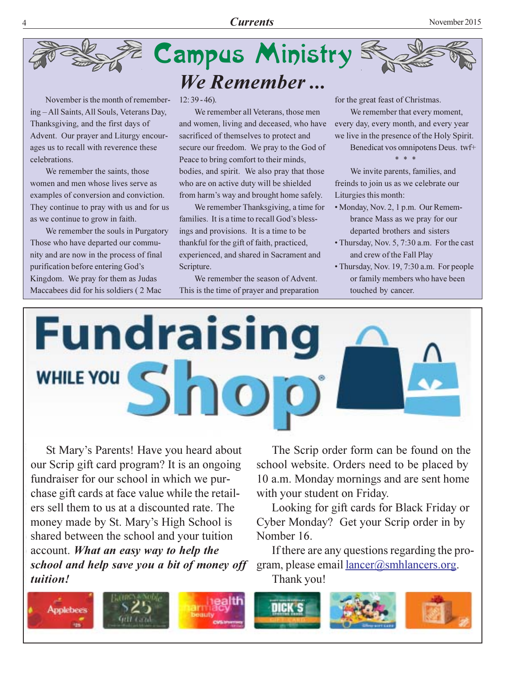



November is the month of remembering-All Saints, All Souls, Veterans Day, Thanksgiving, and the first days of Advent. Our prayer and Liturgy encourages us to recall with reverence these celebrations.

We remember the saints, those women and men whose lives serve as examples of conversion and conviction. They continue to pray with us and for us as we continue to grow in faith.

We remember the souls in Purgatory Those who have departed our community and are now in the process of final purification before entering God's Kingdom. We pray for them as Judas Maccabees did for his soldiers (2 Mac

 $12:39-46$ ).

We remember all Veterans, those men and women, living and deceased, who have sacrificed of themselves to protect and secure our freedom. We pray to the God of Peace to bring comfort to their minds, bodies, and spirit. We also pray that those who are on active duty will be shielded from harm's way and brought home safely.

We remember Thanksgiving, a time for families. It is a time to recall God's blessings and provisions. It is a time to be thankful for the gift of faith, practiced, experienced, and shared in Sacrament and Scripture.

We remember the season of Advent. This is the time of prayer and preparation for the great feast of Christmas.

We remember that every moment, every day, every month, and every year we live in the presence of the Holy Spirit.

Benedicat vos omnipotens Deus. twf+

We invite parents, families, and freinds to join us as we celebrate our Liturgies this month:

- Monday, Nov. 2, 1 p.m. Our Remembrance Mass as we pray for our departed brothers and sisters
- Thursday, Nov. 5, 7:30 a.m. For the cast and crew of the Fall Play
- Thursday, Nov. 19, 7:30 a.m. For people or family members who have been touched by cancer.



St Mary's Parents! Have you heard about our Scrip gift card program? It is an ongoing fundraiser for our school in which we purchase gift cards at face value while the retailers sell them to us at a discounted rate. The money made by St. Mary's High School is shared between the school and your tuition account. What an easy way to help the school and help save you a bit of money off tuition!

The Scrip order form can be found on the school website. Orders need to be placed by 10 a.m. Monday mornings and are sent home with your student on Friday.

Looking for gift cards for Black Friday or Cyber Monday? Get your Scrip order in by Nomber 16.

If there are any questions regarding the program, please email <u>lancer</u>@smhlancers.org. Thank you!

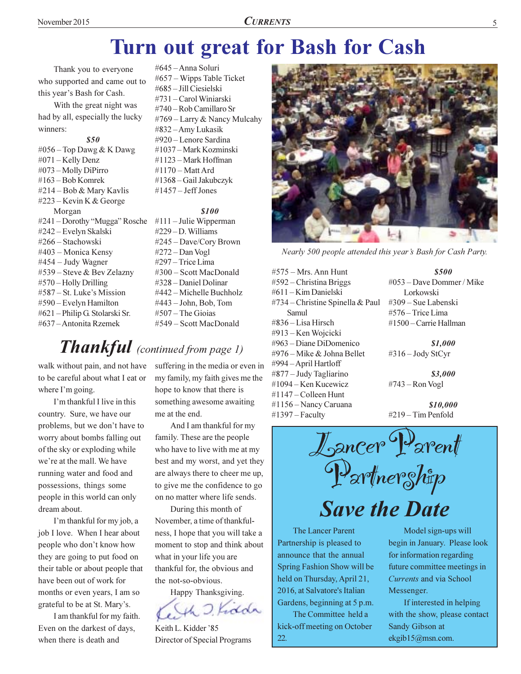# Turn out great for Bash for Cash

Thank you to everyone who supported and came out to this year's Bash for Cash.

With the great night was had by all, especially the lucky winners<sup>.</sup>

### \$50 #056 – Top Dawg & K Dawg #071 – Kelly Denz #073 – Molly DiPirro #163 – Bob Komrek #214 – Bob & Mary Kavlis #223 – Kevin K & George Morgan #241 – Dorothy "Mugga" Rosche #111 – Julie Wipperman #242 – Evelyn Skalski #266 – Stachowski #403 – Monica Kensy #454 - Judy Wagner #539 – Steve & Bev Zelazny #570 – Holly Drilling #587 – St. Luke's Mission #590 – Evelyn Hamilton #621 – Philip G. Stolarski Sr. #637 – Antonita Rzemek

#645 – Anna Soluri #657 – Wipps Table Ticket #685 - Jill Ciesielski #731 – Carol Winiarski #740 – Rob Camillaro Sr  $#769$  – Larry & Nancy Mulcahy #832-Amy Lukasik #920 – Lenore Sardina #1037 – Mark Kozminski #1123 – Mark Hoffman #1170 – Matt Ard #1368 - Gail Jakubczyk #1457 – Jeff Jones

### 8100

 $\#229 - D$ . Williams #245 – Dave/Cory Brown #272 – Dan Vogl #297 - Trice Lima #300 – Scott MacDonald #328 – Daniel Dolinar #442 – Michelle Buchholz #443 – John, Bob, Tom #507 – The Gioias #549 – Scott MacDonald

# Thankful (continued from page 1)

walk without pain, and not have to be careful about what I eat or where I'm going.

I'm thankful I live in this country. Sure, we have our problems, but we don't have to worry about bombs falling out of the sky or exploding while we're at the mall. We have running water and food and possessions, things some people in this world can only dream about.

I'm thankful for my job, a job I love. When I hear about people who don't know how they are going to put food on their table or about people that have been out of work for months or even years, I am so grateful to be at St. Mary's.

I am thankful for my faith. Even on the darkest of days, when there is death and

suffering in the media or even in my family, my faith gives me the hope to know that there is something awesome awaiting me at the end.

And I am thankful for my family. These are the people who have to live with me at my best and my worst, and yet they are always there to cheer me up, to give me the confidence to go on no matter where life sends.

During this month of November, a time of thankfulness, I hope that you will take a moment to stop and think about what in your life you are thankful for, the obvious and the not-so-obvious.

Happy Thanksgiving. adda

Keith L. Kidder '85 Director of Special Programs



Nearly 500 people attended this year's Bash for Cash Party.

- $#575 Mrs.$  Ann Hunt  $#592$  – Christina Briggs #611 - Kim Danielski #734 – Christine Spinella & Paul Samul #836 - Lisa Hirsch #913 – Ken Wojcicki #963 – Diane DiDomenico #976 – Mike & Johna Bellet #994 – April Hartloff #877 – Judy Tagliarino #1094 – Ken Kucewicz #1147 – Colleen Hunt  $#1156 -$ Nancy Caruana  $#1397 - Faculty$
- \$500 #053 – Dave Dommer / Mike Lorkowski #309 – Sue Labenski #576 - Trice Lima #1500 – Carrie Hallman

\$1,000 #316 – Jody StCyr

\$3,000 #743 – Ron Vogl

\$10,000 #219 – Tim Penfold



**Save the Date** 

The Lancer Parent Partnership is pleased to announce that the annual Spring Fashion Show will be held on Thursday, April 21, 2016, at Salvatore's Italian Gardens, beginning at 5 p.m.

The Committee held a kick-off meeting on October 22.

Model sign-ups will begin in January. Please look for information regarding future committee meetings in Currents and via School Messenger.

If interested in helping with the show, please contact Sandy Gibson at ekgib15@msn.com.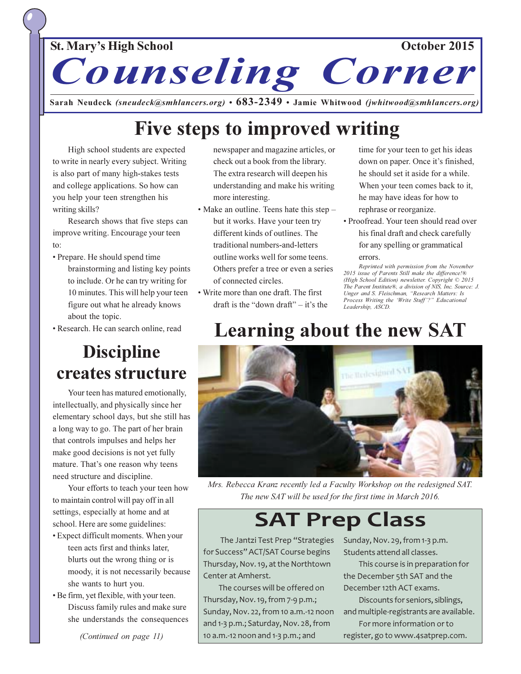# St. Mary's High School

October 2015



Sarah Neudeck (sneudeck@smhlancers.org)  $\cdot$  683-2349  $\cdot$  Jamie Whitwood (jwhitwood@smhlancers.org)

# Five steps to improved writing

High school students are expected to write in nearly every subject. Writing is also part of many high-stakes tests and college applications. So how can you help your teen strengthen his writing skills?

Research shows that five steps can improve writing. Encourage your teen  $\mathsf{to}$ 

- Prepare. He should spend time brainstorming and listing key points to include. Or he can try writing for 10 minutes. This will help your teen figure out what he already knows about the topic.
- Research. He can search online, read

# **Discipline** creates structure

Your teen has matured emotionally, intellectually, and physically since her elementary school days, but she still has a long way to go. The part of her brain that controls impulses and helps her make good decisions is not yet fully mature. That's one reason why teens need structure and discipline.

Your efforts to teach your teen how to maintain control will pay off in all settings, especially at home and at school. Here are some guidelines:

- Expect difficult moments. When your teen acts first and thinks later, blurts out the wrong thing or is moody, it is not necessarily because she wants to hurt you.
- Be firm, yet flexible, with your teen. Discuss family rules and make sure she understands the consequences

newspaper and magazine articles, or check out a book from the library. The extra research will deepen his understanding and make his writing more interesting.

- Make an outline. Teens hate this step but it works. Have your teen try different kinds of outlines. The traditional numbers-and-letters outline works well for some teens. Others prefer a tree or even a series of connected circles.
- Write more than one draft. The first draft is the "down draft"  $-$  it's the

time for your teen to get his ideas down on paper. Once it's finished, he should set it aside for a while. When your teen comes back to it, he may have ideas for how to rephrase or reorganize.

· Proofread. Your teen should read over his final draft and check carefully for any spelling or grammatical errors.

Reprinted with permission from the November 2015 issue of Parents Still make the difference!® (High School Edition) newsletter. Copyright © 2015 The Parent Institute®, a division of NIS, Inc. Source: J. Unger and S. Fleischman, "Research Matters: Is Process Writing the 'Write Stuff'?" Educational Leadershin. ASCD.

# **Learning about the new SAT**



Mrs. Rebecca Kranz recently led a Faculty Workshop on the redesigned SAT. The new SAT will be used for the first time in March 2016.

# **SAT Prep Class**

The Jantzi Test Prep "Strategies for Success" ACT/SAT Course begins Thursday, Nov. 19, at the Northtown Center at Amherst.

The courses will be offered on Thursday, Nov. 19, from 7-9 p.m.; Sunday, Nov. 22, from 10 a.m.-12 noon and 1-3 p.m.; Saturday, Nov. 28, from 10 a.m.-12 noon and 1-3 p.m.; and

Sunday, Nov. 29, from 1-3 p.m. Students attend all classes.

This course is in preparation for the December 5th SAT and the December 12th ACT exams.

Discounts for seniors, siblings, and multiple-registrants are available.

For more information or to register, go to www.4satprep.com.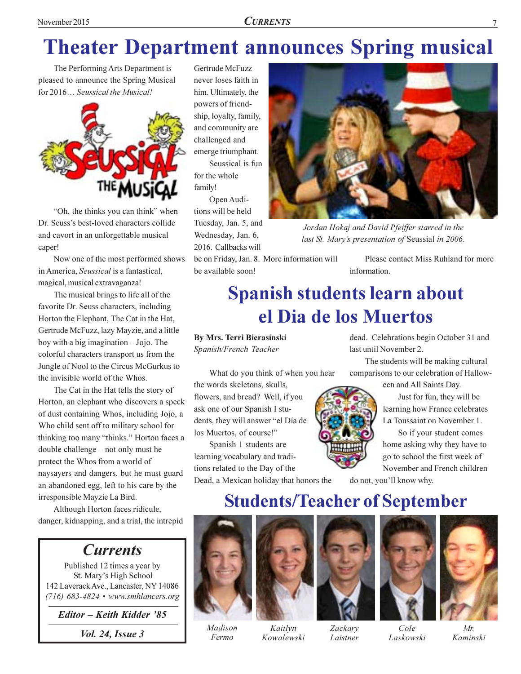# **Theater Department announces Spring musical**

The Performing Arts Department is pleased to announce the Spring Musical for 2016... Seussical the Musical!



"Oh, the thinks you can think" when Dr. Seuss's best-loved characters collide and cavort in an unforgettable musical caper!

Now one of the most performed shows in America, Seussical is a fantastical, magical, musical extravaganza!

The musical brings to life all of the favorite Dr. Seuss characters, including Horton the Elephant, The Cat in the Hat, Gertrude McFuzz, lazy Mayzie, and a little boy with a big imagination  $-$  Jojo. The colorful characters transport us from the Jungle of Nool to the Circus McGurkus to the invisible world of the Whos.

The Cat in the Hat tells the story of Horton, an elephant who discovers a speck of dust containing Whos, including Jojo, a Who child sent off to military school for thinking too many "thinks." Horton faces a double challenge - not only must he protect the Whos from a world of naysayers and dangers, but he must guard an abandoned egg, left to his care by the irresponsible Mayzie La Bird.

Although Horton faces ridicule, danger, kidnapping, and a trial, the intrepid

# **Currents**

Published 12 times a year by St. Mary's High School 142 Laverack Ave., Lancaster, NY 14086 (716) 683-4824 • www.smhlancers.org

Editor - Keith Kidder '85

*Vol. 24, Issue 3* 

Gertrude McFuzz never loses faith in him. Ultimately, the powers of friendship, loyalty, family, and community are challenged and emerge triumphant. Seussical is fun for the whole

family! Open Audi-

tions will be held Tuesday, Jan. 5, and Wednesday, Jan. 6, 2016. Callbacks will

be on Friday, Jan. 8. More information will be available soon!

Please contact Miss Ruhland for more information.

Jordan Hokaj and David Pfeiffer starred in the

last St. Mary's presentation of Seussial in 2006.

# **Spanish students learn about** el Dia de los Muertos

**By Mrs. Terri Bierasinski** Spanish/French Teacher

What do you think of when you hear the words skeletons, skulls, flowers, and bread? Well, if you ask one of our Spanish I students, they will answer "el Día de los Muertos, of course!"

Spanish 1 students are learning vocabulary and traditions related to the Day of the

Dead, a Mexican holiday that honors the



dead. Celebrations begin October 31 and last until November 2.

The students will be making cultural comparisons to our celebration of Hallow-

een and All Saints Day.

Just for fun, they will be learning how France celebrates La Toussaint on November 1.

So if your student comes home asking why they have to go to school the first week of November and French children

do not, you'll know why.

# **Students/Teacher of September**









Kowalewski







Laskowski



 $Mr$ Kaminski

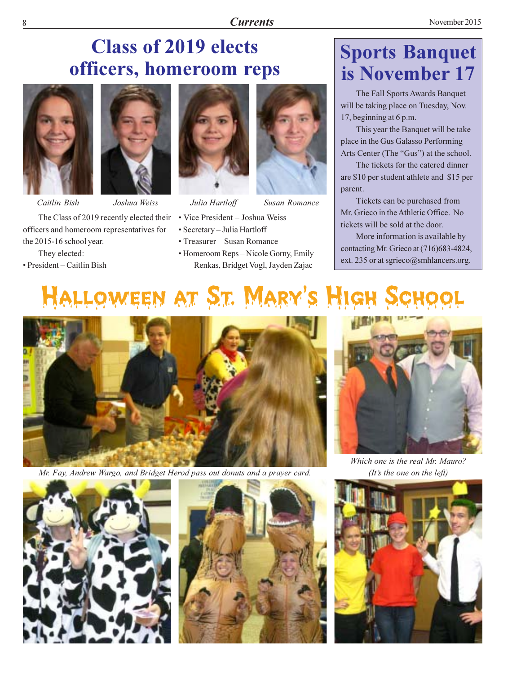# **Class of 2019 elects** officers, homeroom reps





Caitlin Bish Joshua Weiss The Class of 2019 recently elected their officers and homeroom representatives for the 2015-16 school year.

They elected: • President – Caitlin Bish



Julia Hartloff



- · Secretary Julia Hartloff
- Treasurer Susan Romance
- Homeroom Reps Nicole Gorny, Emily Renkas, Bridget Vogl, Jayden Zajac

# **Sports Banquet** is November 17

The Fall Sports Awards Banquet will be taking place on Tuesday, Nov. 17, beginning at 6 p.m.

This year the Banquet will be take place in the Gus Galasso Performing Arts Center (The "Gus") at the school.

The tickets for the catered dinner are \$10 per student athlete and \$15 per parent.

Tickets can be purchased from Mr. Grieco in the Athletic Office. No tickets will be sold at the door.

More information is available by contacting Mr. Grieco at (716)683-4824, ext. 235 or at sgrieco@smhlancers.org.

# Halloween at St. Mary's High



Mr. Fay, Andrew Wargo, and Bridget Herod pass out donuts and a prayer card.







Which one is the real Mr. Mauro? (It's the one on the left)

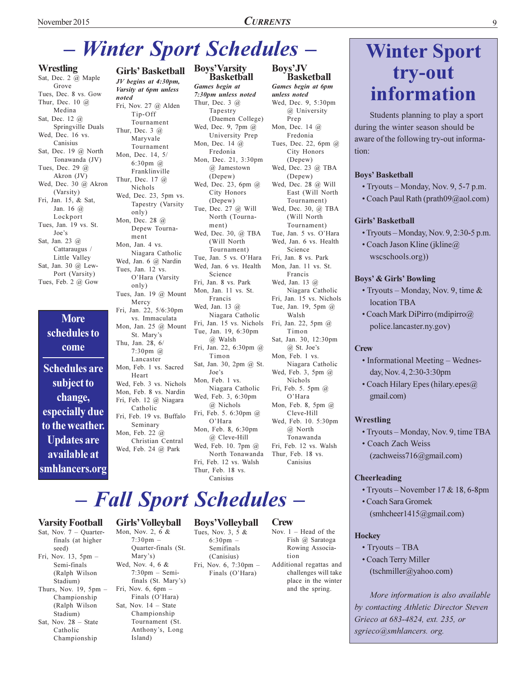### **CURRENTS**

# - Winter Sport Schedules -

### **Wrestling**

Sat, Dec. 2 @ Maple Grove Tues, Dec. 8 vs. Gow Thur, Dec. 10  $\omega$ Medina Sat, Dec. 12 @ Springville Duals Wed, Dec. 16 vs. Canisius Sat, Dec. 19 @ North Tonawanda (JV) Tues, Dec. 29 @ Akron  $(IV)$ Wed, Dec. 30 @ Akron (Varsity) Fri, Jan. 15, & Sat, Jan. 16  $\omega$ Lockport Tues, Jan. 19 vs. St. Joe's Sat, Jan. 23 @ Cattaraugus / Little Valley Sat, Jan. 30 @ Lew-Port (Varsity) Tues, Feb. 2 @ Gow

### **More** schedules to come

**Schedules are** subject to change, especially due to the weather. **Updates are** available at smhlancers.org

JV begins at 4:30pm, Varsity at 6pm unless noted Fri, Nov. 27 @ Alden Tip-Off Tournament Thur, Dec.  $3 \quad \omega$ Maryvale Tournament Mon, Dec. 14, 5/  $6:30$ pm $@$ Franklinville Thur, Dec. 17 @ Nichols Wed, Dec. 23, 5pm vs. Tapestry (Varsity only) Mon, Dec. 28 @ Depew Tournament Mon, Jan. 4 vs. Niagara Catholic Wed, Jan. 6 @ Nardin Tues, Jan. 12 vs. O'Hara (Varsity only) Tues, Jan. 19 @ Mount Mercy Fri, Jan. 22, 5/6:30pm vs. Immaculata Mon, Jan. 25 @ Mount St. Mary's Thu, Jan. 28, 6/ 7:30pm @ Lancaster Mon, Feb. 1 vs. Sacred Heart Wed, Feb. 3 vs. Nichols Mon, Feb. 8 vs. Nardin Fri, Feb. 12 @ Niagara Catholic Fri, Feb. 19 vs. Buffalo Seminary Mon, Feb. 22 @ Christian Central Wed, Feb. 24 @ Park

**Girls' Basketball** 

### **Boys'Varsity Basketball** Games begin at 7:30pm unless noted Thur, Dec. 3  $@$ Tapestry (Daemen College) Wed, Dec. 9, 7pm @ University Prep Mon, Dec. 14 @ Fredonia

Mon, Dec. 21, 3:30pm  $@$  Jamestown (Depew) Wed, Dec. 23, 6pm @ City Honors (Depew) Tue, Dec. 27 @ Will North (Tourna $ment)$ Wed, Dec. 30, @ TBA (Will North) Tournament) Tue, Jan. 5 vs. O'Hara Wed Jan 6 vs Health Science Fri. Jan. 8 vs. Park Mon, Jan. 11 vs. St. Francis Wed, Jan. 13 @ Niagara Catholic Fri, Jan. 15 vs. Nichols Tue, Jan. 19, 6:30pm @ Walsh Fri, Jan. 22, 6:30pm @  $\operatorname{Timon}$ Sat, Jan. 30, 2pm @ St. Joe's Mon, Feb. 1 vs. Niagara Catholic Wed, Feb. 3, 6:30pm @ Nichols Fri, Feb. 5. 6:30pm @

O'Hara Mon, Feb. 8, 6:30pm @ Cleve-Hill Wed, Feb. 10. 7pm @ North Tonawanda Fri, Feb. 12 vs. Walsh Thur. Feb. 18 vs. Canisius

### Bovs'JV **Basketball**

Games begin at 6pm unless noted Wed, Dec. 9, 5:30pm @ University Prep Mon, Dec. 14 @ Fredonia Tues, Dec. 22, 6pm @ City Honors (Depew) Wed, Dec. 23 @ TBA (Depew) Wed, Dec. 28 @ Will East (Will North Tournament) Wed, Dec. 30, @ TBA (Will North Tournament) Tue, Jan. 5 vs. O'Hara Wed, Jan. 6 vs. Health Science Fri, Jan. 8 vs. Park Mon, Jan. 11 vs. St. Francis Wed, Jan. 13 @ Niagara Catholic Fri, Jan. 15 vs. Nichols Tue, Jan. 19, 5pm @ Walsh Fri, Jan. 22, 5pm @ Timon Sat, Jan. 30, 12:30pm  $@$  St. Joe's Mon. Feb. 1 vs. Niagara Catholic Wed, Feb. 3, 5pm @ Nichols Fri, Feb. 5. 5pm @ O'Hara Mon, Feb. 8, 5pm  $(a)$ Cleve-Hill Wed, Feb. 10. 5:30pm @ North Tonawanda Fri Feb 12 vs Walsh Thur, Feb. 18 vs. Canisius

# - Fall Sport Schedules -

### **Boys'Volleyball Crew**

Nov.  $1 -$  Head of the Fish @ Saratoga Rowing Association

# **Winter Sport** try-out information

Students planning to play a sport during the winter season should be aware of the following try-out information:

### **Boys' Basketball**

- Tryouts Monday, Nov. 9, 5-7 p.m.
- Coach Paul Rath (prath09@aol.com)

### **Girls' Basketball**

- Tryouts Monday, Nov. 9, 2:30-5 p.m.
- Coach Jason Kline (jkline $\widehat{a}$ ) wscschools.org))

### **Boys' & Girls' Bowling**

- Tryouts Monday, Nov. 9, time  $\&$ location TBA
- Coach Mark DiPirro (mdipirro@ police.lancaster.ny.gov)

### **Crew**

- Informational Meeting Wednesday, Nov. 4, 2:30-3:30pm
- Coach Hilary Epes (hilary.epes@ gmail.com)

### Wrestling

- Tryouts Monday, Nov. 9, time TBA
- Coach Zach Weiss  $(zachweis716@gmail.com)$

### **Cheerleading**

- Tryouts November  $17 & 18, 6$ -8pm
- Coach Sara Gromek
- (smhcheer1415@gmail.com)

### **Hockey**

- $\cdot$  Tryouts TBA
- Coach Terry Miller
- (tschmiller@yahoo.com)

More information is also available by contacting Athletic Director Steven Grieco at 683-4824, ext. 235, or sgrieco@smhlancers.org.

### **Varsity Football**

Sat, Nov.  $7 -$  Ouarterfinals (at higher seed) Fri, Nov. 13, 5pm -Semi-finals (Ralph Wilson Stadium) Thurs, Nov. 19,  $5pm -$ Championship (Ralph Wilson Stadium)

- Sat, Nov. 28 State Catholic Championship
- Quarter-finals (St. Mary's) Wed, Nov. 4, 6 &  $7:30 \text{pm} - \text{Semi}$ finals (St. Mary's) Fri, Nov.  $6, 6pm$ Finals (O'Hara) Sat, Nov.  $14$  - State Championship

Tournament (St.

Anthony's, Long

Island)

Girls' Volleyball

 $7:30 \text{pm}$  -

### Mon, Nov. 2, 6 & Tues, Nov. 3, 5 &

 $6:30 \,\mathrm{nm}$  – Semifinals (Canisius) Fri, Nov. 6, 7:30pm -Finals (O'Hara)

Additional regattas and challenges will take place in the winter and the spring.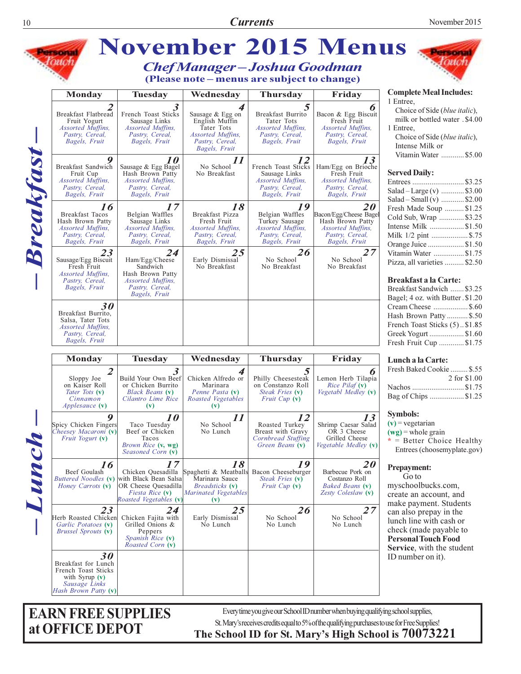

**EARN FREE SUPPLIES** at OFFICE DEPOT

Every time you give our School ID number when buying qualifying school supplies, St. Mary's receives credits equal to 5% of the qualifying purchases to use for Free Supplies! The School ID for St. Mary's High School is 70073221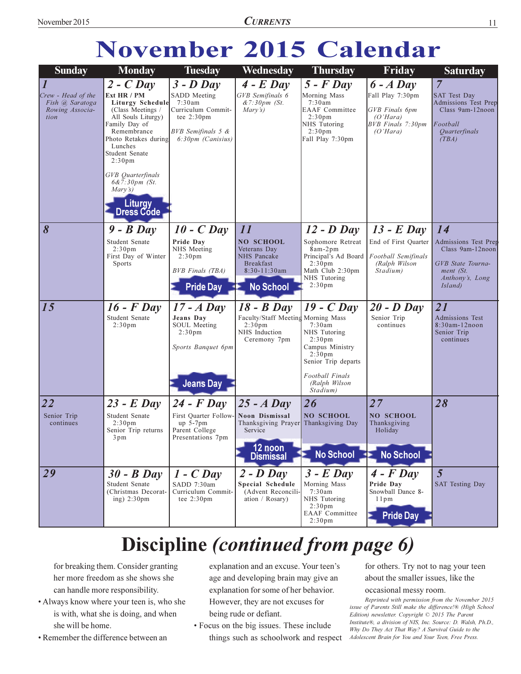# November 2015 Calendar

| <b>Sunday</b>                                                                 | <b>Monday</b>                                                                                                                                                                                                                                                                                  | <b>Tuesday</b>                                                                                                                                                                          | Wednesday                                                                                                                                                                                                    | <b>Thursday</b>                                                                                                                                                                                | Friday                                                                                                                               | <b>Saturday</b>                                                                                                                                                                               |
|-------------------------------------------------------------------------------|------------------------------------------------------------------------------------------------------------------------------------------------------------------------------------------------------------------------------------------------------------------------------------------------|-----------------------------------------------------------------------------------------------------------------------------------------------------------------------------------------|--------------------------------------------------------------------------------------------------------------------------------------------------------------------------------------------------------------|------------------------------------------------------------------------------------------------------------------------------------------------------------------------------------------------|--------------------------------------------------------------------------------------------------------------------------------------|-----------------------------------------------------------------------------------------------------------------------------------------------------------------------------------------------|
| $\vert I$<br>Crew - Head of the<br>Fish @ Saratoga<br>Rowing Associa-<br>tion | $2 - C$ Day<br>Ext HR / PM<br><b>Liturgy Schedule</b><br>(Class Meetings /<br>All Souls Liturgy)<br>Family Day of<br>Remembrance<br>Photo Retakes during<br>Lunches<br>Student Senate<br>2:30 <sub>pm</sub><br>GVB Quarterfinals<br>$6&7:30pm$ (St.<br>Mary's)<br><b>Liturgy</b><br>Dress Code | $3 - D$ Day<br>SADD Meeting<br>7:30am<br>Curriculum Commit-<br>tee $2:30 \text{pm}$<br>BVB Semifinals 5 &<br>6:30pm (Canisius)                                                          | $4$ - $E$ Day<br>GVB Semifinals 6<br>$&7:30pm$ (St.<br>Mary's)                                                                                                                                               | $5$ - $F$ Day<br>Morning Mass<br>7:30am<br><b>EAAF</b> Committee<br>2:30 <sub>pm</sub><br>NHS Tutoring<br>2:30 <sub>pm</sub><br>Fall Play 7:30pm                                               | $6 - A$ Day<br>Fall Play 7:30pm<br><b>GVB</b> Finals 6pm<br>(O'Hara)<br><b>BVB</b> Finals 7:30pm<br>(O'Hara)                         | $\overline{7}$<br><b>SAT Test Day</b><br><b>Admissions Test Prep</b><br>Class 9am-12noon<br>Football<br>Quarterfinals<br>(TBA)                                                                |
| 8<br>15                                                                       | $9 - B$ Day<br>Student Senate<br>2:30 <sub>pm</sub><br>First Day of Winter<br>Sports<br>$16$ - $F$ Day<br>Student Senate<br>2:30 <sub>pm</sub>                                                                                                                                                 | $10 - C$ Day<br>Pride Day<br>NHS Meeting<br>2:30 <sub>pm</sub><br><b>BVB</b> Finals (TBA)<br><b>Pride Day</b><br>$17 - A$ Day<br>Jeans Day<br><b>SOUL Meeting</b><br>2:30 <sub>pm</sub> | 11<br><b>NO SCHOOL</b><br>Veterans Day<br>NHS Pancake<br><b>Breakfast</b><br>$8:30-11:30am$<br><b>No School</b><br>$18 - B$ Day<br>Faculty/Staff Meeting Morning Mass<br>2:30 <sub>pm</sub><br>NHS Induction | $12$ - D Day<br>Sophomore Retreat<br>8am-2pm<br>Principal's Ad Board<br>2:30 <sub>pm</sub><br>Math Club 2:30pm<br>NHS Tutoring<br>2:30 <sub>pm</sub><br>$19$ - C Day<br>7:30am<br>NHS Tutoring | $13$ - E Day<br>End of First Quarter<br>Football Semifinals<br>(Ralph Wilson<br>Stadium)<br>$20 - D$ Day<br>Senior Trip<br>continues | 14<br><b>Admissions Test Prep</b><br>Class 9am-12noon<br>GVB State Tourna-<br>ment (St.<br>Anthony's, Long<br><i>Island</i> )<br>21<br><b>Admissions Test</b><br>8:30am-12noon<br>Senior Trip |
|                                                                               |                                                                                                                                                                                                                                                                                                | Sports Banquet 6pm<br><b>Jeans Day</b>                                                                                                                                                  | Ceremony 7pm                                                                                                                                                                                                 | 2:30 <sub>pm</sub><br>Campus Ministry<br>2:30 <sub>pm</sub><br>Senior Trip departs<br>Football Finals<br>(Ralph Wilson<br>Stadium)                                                             |                                                                                                                                      | continues                                                                                                                                                                                     |
| 22<br>Senior Trip<br>continues                                                | $23$ - E Day<br>Student Senate<br>2:30 <sub>pm</sub><br>Senior Trip returns<br>3pm                                                                                                                                                                                                             | $24$ - F Day<br>First Quarter Follow-<br>$up$ 5-7 $pm$<br>Parent College<br>Presentations 7pm                                                                                           | $25 - A$ Day<br>Noon Dismissal<br>Thanksgiving Prayer<br>Service<br>12 noon<br>Dismissal                                                                                                                     | 26<br><b>NO SCHOOL</b><br>Thanksgiving Day<br>No School                                                                                                                                        | 27<br>NO SCHOOL<br>Thanksgiving<br>Holiday<br><b>No School</b>                                                                       | 28                                                                                                                                                                                            |
| 29                                                                            | $30 - B$ Day<br>Student Senate<br>(Christmas Decorat-<br>ing) $2:30 \text{pm}$                                                                                                                                                                                                                 | $1 - C$ Day<br>SADD 7:30am<br>Curriculum Commit-<br>tee $2:30 \text{pm}$                                                                                                                | $2 - D$ Day<br>Special Schedule<br>(Advent Reconcili-<br>ation / $Rosary$ )                                                                                                                                  | $3$ - E Day<br>Morning Mass<br>7:30am<br>NHS Tutoring<br>2:30 <sub>pm</sub><br>EAAF Committee<br>2:30 <sub>pm</sub>                                                                            | $4$ - $F$ Day<br>Pride Day<br>Snowball Dance 8-<br>11pm<br><b>Pride Day</b>                                                          | $\overline{5}$<br><b>SAT Testing Day</b>                                                                                                                                                      |

# Discipline (continued from page 6)

for breaking them. Consider granting her more freedom as she shows she can handle more responsibility.

- Always know where your teen is, who she is with, what she is doing, and when she will be home.
- Remember the difference between an

explanation and an excuse. Your teen's age and developing brain may give an explanation for some of her behavior. However, they are not excuses for being rude or defiant.

• Focus on the big issues. These include things such as schoolwork and respect for others. Try not to nag your teen about the smaller issues, like the

### occasional messy room.

Reprinted with permission from the November 2015 issue of Parents Still make the difference!® (High School Edition) newsletter. Copyright © 2015 The Parent Institute®, a division of NIS, Inc. Source: D. Walsh, Ph.D., Why Do They Act That Way? A Survival Guide to the Adolescent Brain for You and Your Teen, Free Press.